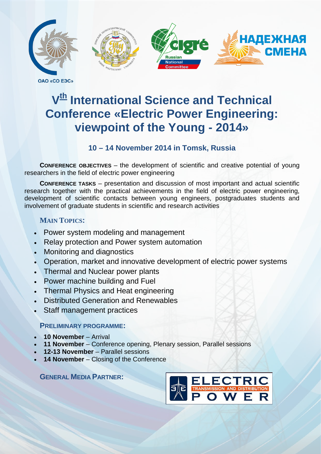

**OAO «CO E3C»** 

# **V<sup>th</sup>** International Science and Technical **Conference «Electric Power Engineering: viewpoint of the Young - 2014»**

# **10 – 14 November 2014 in Tomsk, Russia**

**CONFERENCE OBJECTIVES** – the development of scientific and creative potential of young researchers in the field of electric power engineering

**CONFERENCE TASKS** – presentation and discussion of most important and actual scientific research together with the practical achievements in the field of electric power engineering, development of scientific contacts between young engineers, postgraduates students and involvement of graduate students in scientific and research activities

# **MAIN TOPICS:**

- Power system modeling and management
- Relay protection and Power system automation
- Monitoring and diagnostics
- Operation, market and innovative development of electric power systems
- Thermal and Nuclear power plants
- Power machine building and Fuel
- Thermal Physics and Heat engineering
- Distributed Generation and Renewables
- Staff management practices

# **PRELIMINARY PROGRAMME:**

- **10 November** Arrival
- **11 November** Conference opening, Plenary session, Parallel sessions
- **12-13 November** Parallel sessions
- 14 **November** Closing of the Conference

**GENERAL MEDIA PARTNER:**